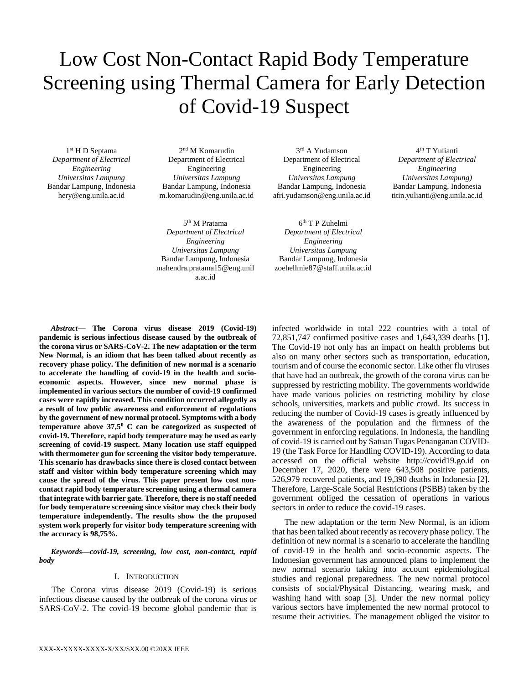# Low Cost Non-Contact Rapid Body Temperature Screening using Thermal Camera for Early Detection of Covid-19 Suspect

1 st H D Septama *Department of Electrical Engineering Universitas Lampung* Bandar Lampung, Indonesia hery@eng.unila.ac.id

2 nd M Komarudin Department of Electrical Engineering *Universitas Lampung* Bandar Lampung, Indonesia m.komarudin@eng.unila.ac.id

5 th M Pratama *Department of Electrical Engineering Universitas Lampung* Bandar Lampung, Indonesia mahendra.pratama15@eng.unil a.ac.id

3 rd A Yudamson Department of Electrical Engineering *Universitas Lampung* Bandar Lampung, Indonesia afri.yudamson@eng.unila.ac.id

6 th T P Zuhelmi *Department of Electrical Engineering Universitas Lampung* Bandar Lampung, Indonesia zoehellmie87@staff.unila.ac.id

4 th T Yulianti *Department of Electrical Engineering Universitas Lampung)* Bandar Lampung, Indonesia titin.yulianti@eng.unila.ac.id

*Abstract***— The Corona virus disease 2019 (Covid-19) pandemic is serious infectious disease caused by the outbreak of the corona virus or SARS-CoV-2. The new adaptation or the term New Normal, is an idiom that has been talked about recently as recovery phase policy. The definition of new normal is a scenario to accelerate the handling of covid-19 in the health and socioeconomic aspects. However, since new normal phase is implemented in various sectors the number of covid-19 confirmed cases were rapidly increased. This condition occurred allegedly as a result of low public awareness and enforcement of regulations by the government of new normal protocol. Symptoms with a body temperature above 37,5<sup>0</sup> C can be categorized as suspected of covid-19. Therefore, rapid body temperature may be used as early screening of covid-19 suspect. Many location use staff equipped with thermometer gun for screening the visitor body temperature. This scenario has drawbacks since there is closed contact between staff and visitor within body temperature screening which may cause the spread of the virus. This paper present low cost noncontact rapid body temperature screening using a thermal camera that integrate with barrier gate. Therefore, there is no staff needed for body temperature screening since visitor may check their body temperature independently. The results show the the proposed system work properly for visitor body temperature screening with the accuracy is 98,75%.**

*Keywords—covid-19, screening, low cost, non-contact, rapid body*

## I. INTRODUCTION

The Corona virus disease 2019 (Covid-19) is serious infectious disease caused by the outbreak of the corona virus or SARS-CoV-2. The covid-19 become global pandemic that is

infected worldwide in total 222 countries with a total of 72,851,747 confirmed positive cases and 1,643,339 deaths [1]. The Covid-19 not only has an impact on health problems but also on many other sectors such as transportation, education, tourism and of course the economic sector. Like other flu viruses that have had an outbreak, the growth of the corona virus can be suppressed by restricting mobility. The governments worldwide have made various policies on restricting mobility by close schools, universities, markets and public crowd. Its success in reducing the number of Covid-19 cases is greatly influenced by the awareness of the population and the firmness of the government in enforcing regulations. In Indonesia, the handling of covid-19 is carried out by Satuan Tugas Penanganan COVID-19 (the Task Force for Handling COVID-19). According to data accessed on the official website http://covid19.go.id on December 17, 2020, there were 643,508 positive patients, 526,979 recovered patients, and 19,390 deaths in Indonesia [2]. Therefore, Large-Scale Social Restrictions (PSBB) taken by the government obliged the cessation of operations in various sectors in order to reduce the covid-19 cases.

The new adaptation or the term New Normal, is an idiom that has been talked about recently as recovery phase policy. The definition of new normal is a scenario to accelerate the handling of covid-19 in the health and socio-economic aspects. The Indonesian government has announced plans to implement the new normal scenario taking into account epidemiological studies and regional preparedness. The new normal protocol consists of social/Physical Distancing, wearing mask, and washing hand with soap [3]. Under the new normal policy various sectors have implemented the new normal protocol to resume their activities. The management obliged the visitor to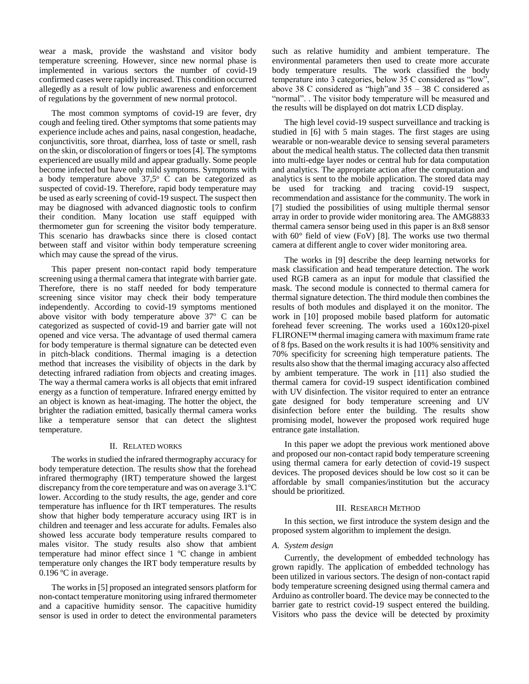wear a mask, provide the washstand and visitor body temperature screening. However, since new normal phase is implemented in various sectors the number of covid-19 confirmed cases were rapidly increased. This condition occurred allegedly as a result of low public awareness and enforcement of regulations by the government of new normal protocol.

The most common symptoms of covid-19 are fever, dry cough and feeling tired. Other symptoms that some patients may experience include aches and pains, nasal congestion, headache, conjunctivitis, sore throat, diarrhea, loss of taste or smell, rash on the skin, or discoloration of fingers or toes[4]. The symptoms experienced are usually mild and appear gradually. Some people become infected but have only mild symptoms. Symptoms with a body temperature above  $37.5^{\circ}$  C can be categorized as suspected of covid-19. Therefore, rapid body temperature may be used as early screening of covid-19 suspect. The suspect then may be diagnosed with advanced diagnostic tools to confirm their condition. Many location use staff equipped with thermometer gun for screening the visitor body temperature. This scenario has drawbacks since there is closed contact between staff and visitor within body temperature screening which may cause the spread of the virus.

This paper present non-contact rapid body temperature screening using a thermal camera that integrate with barrier gate. Therefore, there is no staff needed for body temperature screening since visitor may check their body temperature independently. According to covid-19 symptoms mentioned above visitor with body temperature above  $37^{\circ}$  C can be categorized as suspected of covid-19 and barrier gate will not opened and vice versa. The advantage of used thermal camera for body temperature is thermal signature can be detected even in pitch-black conditions. Thermal imaging is a detection method that increases the visibility of objects in the dark by detecting infrared radiation from objects and creating images. The way a thermal camera works is all objects that emit infrared energy as a function of temperature. Infrared energy emitted by an object is known as heat-imaging. The hotter the object, the brighter the radiation emitted, basically thermal camera works like a temperature sensor that can detect the slightest temperature.

# II. RELATED WORKS

The works in studied the infrared thermography accuracy for body temperature detection. The results show that the forehead infrared thermography (IRT) temperature showed the largest discrepancy from the core temperature and was on average 3.1ºC lower. According to the study results, the age, gender and core temperature has influence for th IRT temperatures. The results show that higher body temperature accuracy using IRT is in children and teenager and less accurate for adults. Females also showed less accurate body temperature results compared to males visitor. The study results also show that ambient temperature had minor effect since 1 ºC change in ambient temperature only changes the IRT body temperature results by 0.196 ºC in average.

The works in [5] proposed an integrated sensors platform for non-contact temperature monitoring using infrared thermometer and a capacitive humidity sensor. The capacitive humidity sensor is used in order to detect the environmental parameters

such as relative humidity and ambient temperature. The environmental parameters then used to create more accurate body temperature results. The work classified the body temperature into 3 categories, below 35 C considered as "low", above 38 C considered as "high"and 35 – 38 C considered as "normal". . The visitor body temperature will be measured and the results will be displayed on dot matrix LCD display.

The high level covid-19 suspect surveillance and tracking is studied in [6] with 5 main stages. The first stages are using wearable or non-wearable device to sensing several parameters about the medical health status. The collected data then transmit into multi-edge layer nodes or central hub for data computation and analytics. The appropriate action after the computation and analytics is sent to the mobile application. The stored data may be used for tracking and tracing covid-19 suspect, recommendation and assistance for the community. The work in [7] studied the possibilities of using multiple thermal sensor array in order to provide wider monitoring area. The AMG8833 thermal camera sensor being used in this paper is an 8x8 sensor with 60° field of view (FoV) [8]. The works use two thermal camera at different angle to cover wider monitoring area.

The works in [9] describe the deep learning networks for mask classification and head temperature detection. The work used RGB camera as an input for module that classified the mask. The second module is connected to thermal camera for thermal signature detection. The third module then combines the results of both modules and displayed it on the monitor. The work in [10] proposed mobile based platform for automatic forehead fever screening. The works used a 160x120-pixel FLIRONE™ thermal imaging camera with maximum frame rate of 8 fps. Based on the work results it is had 100% sensitivity and 70% specificity for screening high temperature patients. The results also show that the thermal imaging accuracy also affected by ambient temperature. The work in [11] also studied the thermal camera for covid-19 suspect identification combined with UV disinfection. The visitor required to enter an entrance gate designed for body temperature screening and UV disinfection before enter the building. The results show promising model, however the proposed work required huge entrance gate installation.

In this paper we adopt the previous work mentioned above and proposed our non-contact rapid body temperature screening using thermal camera for early detection of covid-19 suspect devices. The proposed devices should be low cost so it can be affordable by small companies/institution but the accuracy should be prioritized.

### III. RESEARCH METHOD

In this section, we first introduce the system design and the proposed system algorithm to implement the design.

# *A. System design*

Currently, the development of embedded technology has grown rapidly. The application of embedded technology has been utilized in various sectors. The design of non-contact rapid body temperature screening designed using thermal camera and Arduino as controller board. The device may be connected to the barrier gate to restrict covid-19 suspect entered the building. Visitors who pass the device will be detected by proximity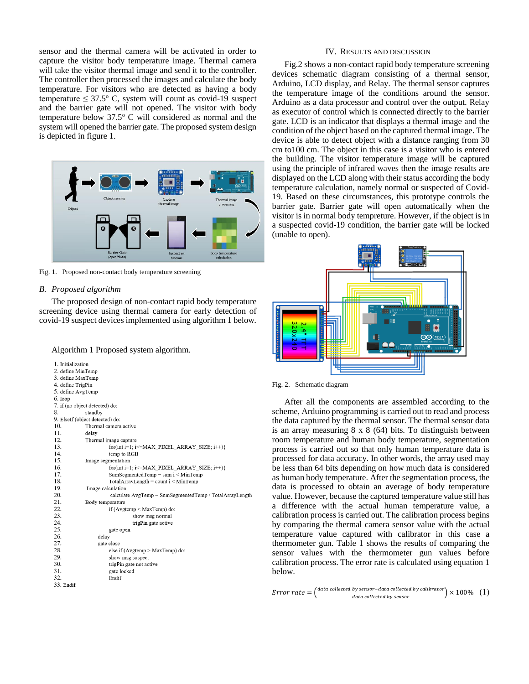sensor and the thermal camera will be activated in order to capture the visitor body temperature image. Thermal camera will take the visitor thermal image and send it to the controller. The controller then processed the images and calculate the body temperature. For visitors who are detected as having a body temperature  $\leq 37.5^{\circ}$  C, system will count as covid-19 suspect and the barrier gate will not opened. The visitor with body temperature below  $37.5^{\circ}$  C will considered as normal and the system will opened the barrier gate. The proposed system design is depicted in figure 1.



Fig. 1. Proposed non-contact body temperature screening

# *B. Proposed algorithm*

The proposed design of non-contact rapid body temperature screening device using thermal camera for early detection of covid-19 suspect devices implemented using algorithm 1 below.

Algorithm 1 Proposed system algorithm.

1. Initialization 2. define MinTemp 3. define MaxTemp 4. define TrigPin 5. define AvgTemp 6. loop 7. if (no object detected) do: 8. standby 9. ElseIf (object detected) do: 10. Thermal camera active 11. delay 12 Thermal image capture 13. for(int i=1; i<=MAX\_PIXEL\_ARRAY\_SIZE; i++){ temp to RGB  $14$ 15. Image segmentation 16. for(int i=1; i<=MAX PIXEL ARRAY SIZE; i++){ 17. SumSegmentedTemp = sum  $i$  < MinTemp 18  $\text{TotalArrayLength} = \text{count i} < \text{MinTemp}$ 19. Image calculation 20. calculate AvgTemp = SumSegmentedTemp / TotalArrayLength 21. Body temperature 22 if  $(Avgtemp \le MaxTemp)$  do: 23. show msg normal 24. trigPin gate active 25. gate open 26 delay 27. gate close 28 else if (Avgtemp > MaxTemp) do: 29. show msg suspect 30. trigPin gate not active 31. gate locked 32. Endif 33. Endif

#### IV. RESULTS AND DISCUSSION

Fig.2 shows a non-contact rapid body temperature screening devices schematic diagram consisting of a thermal sensor, Arduino, LCD display, and Relay. The thermal sensor captures the temperature image of the conditions around the sensor. Arduino as a data processor and control over the output. Relay as executor of control which is connected directly to the barrier gate. LCD is an indicator that displays a thermal image and the condition of the object based on the captured thermal image. The device is able to detect object with a distance ranging from 30 cm to100 cm. The object in this case is a visitor who is entered the building. The visitor temperature image will be captured using the principle of infrared waves then the image results are displayed on the LCD along with their status according the body temperature calculation, namely normal or suspected of Covid-19. Based on these circumstances, this prototype controls the barrier gate. Barrier gate will open automatically when the visitor is in normal body tempreture. However, if the object is in a suspected covid-19 condition, the barrier gate will be locked (unable to open).



Fig. 2. Schematic diagram

After all the components are assembled according to the scheme, Arduino programming is carried out to read and process the data captured by the thermal sensor. The thermal sensor data is an array measuring 8 x 8 (64) bits. To distinguish between room temperature and human body temperature, segmentation process is carried out so that only human temperature data is processed for data accuracy. In other words, the array used may be less than 64 bits depending on how much data is considered as human body temperature. After the segmentation process, the data is processed to obtain an average of body temperature value. However, because the captured temperature value still has a difference with the actual human temperature value, a calibration process is carried out. The calibration process begins by comparing the thermal camera sensor value with the actual temperature value captured with calibrator in this case a thermometer gun. Table 1 shows the results of comparing the sensor values with the thermometer gun values before calibration process. The error rate is calculated using equation 1 below.

Error rate  $=$   $\left(\frac{data\ collected\ by\ sensor\ -data\ collected\ by\ each\ of\ 100\% \ (1)}{data\ collected\ by\ sensor} \right) \times 100\% \ (1)$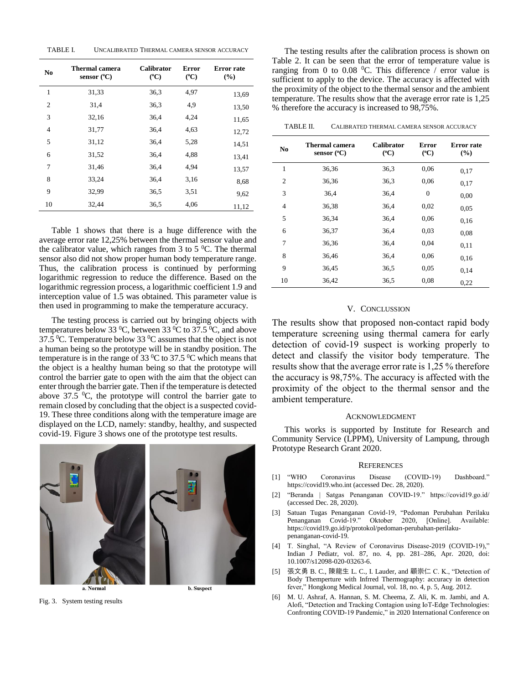| TABLE L | UNCALIBRATED THERMAL CAMERA SENSOR ACCURACY |  |  |  |  |  |
|---------|---------------------------------------------|--|--|--|--|--|
|---------|---------------------------------------------|--|--|--|--|--|

| N <sub>0</sub> | Thermal camera<br>sensor $(^{\circ}C)$ | <b>Calibrator</b><br>$(^{\circ}C)$ | <b>Error</b><br>$(^{\circ}C)$ | Error rate<br>(%) |
|----------------|----------------------------------------|------------------------------------|-------------------------------|-------------------|
| 1              | 31,33                                  | 36,3                               | 4,97                          | 13,69             |
| $\overline{c}$ | 31,4                                   | 36,3                               | 4,9                           | 13,50             |
| 3              | 32,16                                  | 36,4                               | 4,24                          | 11,65             |
| 4              | 31,77                                  | 36,4                               | 4,63                          | 12,72             |
| 5              | 31,12                                  | 36,4                               | 5,28                          | 14,51             |
| 6              | 31,52                                  | 36,4                               | 4,88                          | 13,41             |
| 7              | 31,46                                  | 36,4                               | 4,94                          | 13,57             |
| 8              | 33,24                                  | 36,4                               | 3,16                          | 8.68              |
| 9              | 32,99                                  | 36.5                               | 3.51                          | 9,62              |
| 10             | 32,44                                  | 36,5                               | 4,06                          | 11,12             |

Table 1 shows that there is a huge difference with the average error rate 12,25% between the thermal sensor value and the calibrator value, which ranges from 3 to 5  $^{\circ}$ C. The thermal sensor also did not show proper human body temperature range. Thus, the calibration process is continued by performing logarithmic regression to reduce the difference. Based on the logarithmic regression process, a logarithmic coefficient 1.9 and interception value of 1.5 was obtained. This parameter value is then used in programming to make the temperature accuracy.

The testing process is carried out by bringing objects with temperatures below 33 <sup>0</sup>C, between 33 <sup>0</sup>C to 37.5 <sup>0</sup>C, and above 37.5 °C. Temperature below 33 °C assumes that the object is not a human being so the prototype will be in standby position. The temperature is in the range of 33  $\mathrm{^0C}$  to 37.5  $\mathrm{^0C}$  which means that the object is a healthy human being so that the prototype will control the barrier gate to open with the aim that the object can enter through the barrier gate. Then if the temperature is detected above  $37.5 \text{ }^0\text{C}$ , the prototype will control the barrier gate to remain closed by concluding that the object is a suspected covid-19. These three conditions along with the temperature image are displayed on the LCD, namely: standby, healthy, and suspected covid-19. Figure 3 shows one of the prototype test results.



a. Normal

**b.** Suspect

Fig. 3. System testing results

The testing results after the calibration process is shown on Table 2. It can be seen that the error of temperature value is ranging from 0 to 0.08  $^{\circ}$ C. This difference / error value is sufficient to apply to the device. The accuracy is affected with the proximity of the object to the thermal sensor and the ambient temperature. The results show that the average error rate is 1,25 % therefore the accuracy is increased to 98,75%.

| TABLE II.<br>CALIBRATED THERMAL CAMERA SENSOR ACCURACY |
|--------------------------------------------------------|
|--------------------------------------------------------|

| N <sub>0</sub> | Thermal camera<br>sensor $(^{\circ}C)$ | <b>Calibrator</b><br>$(^{\circ}C)$ | <b>Error</b><br>$(^{\circ}C)$ | <b>Error</b> rate<br>(%) |
|----------------|----------------------------------------|------------------------------------|-------------------------------|--------------------------|
| $\mathbf{1}$   | 36,36                                  | 36,3                               | 0.06                          | 0,17                     |
| $\overline{c}$ | 36,36                                  | 36,3                               | 0.06                          | 0,17                     |
| 3              | 36,4                                   | 36,4                               | $\Omega$                      | 0,00                     |
| 4              | 36,38                                  | 36,4                               | 0.02                          | 0.05                     |
| 5              | 36,34                                  | 36,4                               | 0.06                          | 0,16                     |
| 6              | 36,37                                  | 36,4                               | 0.03                          | 0.08                     |
| 7              | 36,36                                  | 36,4                               | 0,04                          | 0,11                     |
| 8              | 36,46                                  | 36,4                               | 0.06                          | 0,16                     |
| 9              | 36,45                                  | 36,5                               | 0.05                          | 0,14                     |
| 10             | 36,42                                  | 36,5                               | 0.08                          | 0,22                     |

# V. CONCLUSSION

The results show that proposed non-contact rapid body temperature screening using thermal camera for early detection of covid-19 suspect is working properly to detect and classify the visitor body temperature. The results show that the average error rate is 1,25 % therefore the accuracy is 98,75%. The accuracy is affected with the proximity of the object to the thermal sensor and the ambient temperature.

## ACKNOWLEDGMENT

This works is supported by Institute for Research and Community Service (LPPM), University of Lampung, through Prototype Research Grant 2020.

#### **REFERENCES**

- [1] "WHO Coronavirus Disease (COVID-19) Dashboard." https://covid19.who.int (accessed Dec. 28, 2020).
- [2] "Beranda | Satgas Penanganan COVID-19." https://covid19.go.id/ (accessed Dec. 28, 2020).
- [3] Satuan Tugas Penanganan Covid-19, "Pedoman Perubahan Perilaku Penanganan Covid-19." Oktober 2020, [Online]. Available: https://covid19.go.id/p/protokol/pedoman-perubahan-perilakupenanganan-covid-19.
- [4] T. Singhal, "A Review of Coronavirus Disease-2019 (COVID-19)," Indian J Pediatr, vol. 87, no. 4, pp. 281–286, Apr. 2020, doi: 10.1007/s12098-020-03263-6.
- [5] 張文勇 B. C., 陳龍生 L. C., I. Lauder, and 顧崇仁 C. K., "Detection of Body Themperture with Infrred Thermography: accuracy in detection fever," Hongkong Medical Journal, vol. 18, no. 4, p. 5, Aug. 2012.
- [6] M. U. Ashraf, A. Hannan, S. M. Cheema, Z. Ali, K. m. Jambi, and A. Alofi, "Detection and Tracking Contagion using IoT-Edge Technologies: Confronting COVID-19 Pandemic," in 2020 International Conference on